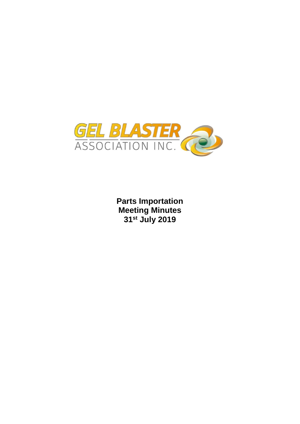

**Parts Importation Meeting Minutes 31st July 2019**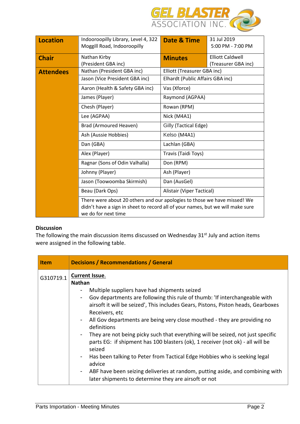

| <b>Location</b>  | Indooroopilly Library, Level 4, 322<br>Moggill Road, Indooroopilly                                                                                                                | 31 Jul 2019<br>Date & Time<br>5:00 PM - 7:00 PM                  |                                  |  |  |  |
|------------------|-----------------------------------------------------------------------------------------------------------------------------------------------------------------------------------|------------------------------------------------------------------|----------------------------------|--|--|--|
| <b>Chair</b>     | Nathan Kirby<br>(President GBA inc)                                                                                                                                               | <b>Elliott Caldwell</b><br><b>Minutes</b><br>(Treasurer GBA inc) |                                  |  |  |  |
| <b>Attendees</b> | Nathan (President GBA inc)                                                                                                                                                        | Elliott (Treasurer GBA inc)                                      | Elhardt (Public Affairs GBA inc) |  |  |  |
|                  | Jason (Vice President GBA inc)                                                                                                                                                    |                                                                  |                                  |  |  |  |
|                  | Aaron (Health & Safety GBA inc)                                                                                                                                                   | Vas (Xforce)                                                     |                                  |  |  |  |
|                  | James (Player)                                                                                                                                                                    | Raymond (AGPAA)                                                  |                                  |  |  |  |
|                  | Chesh (Player)                                                                                                                                                                    | Rowan (RPM)                                                      |                                  |  |  |  |
|                  | Lee (AGPAA)                                                                                                                                                                       | Nick (M4A1)                                                      |                                  |  |  |  |
|                  | Brad (Armoured Heaven)                                                                                                                                                            | Gilly (Tactical Edge)                                            |                                  |  |  |  |
|                  | Ash (Aussie Hobbies)                                                                                                                                                              | Kelso (M4A1)                                                     |                                  |  |  |  |
|                  | Dan (GBA)                                                                                                                                                                         | Lachlan (GBA)                                                    |                                  |  |  |  |
|                  | Alex (Player)                                                                                                                                                                     | Travis (Taidi Toys)                                              |                                  |  |  |  |
|                  | Ragnar (Sons of Odin Valhalla)                                                                                                                                                    | Don (RPM)                                                        |                                  |  |  |  |
|                  | Johnny (Player)                                                                                                                                                                   | Ash (Player)                                                     |                                  |  |  |  |
|                  | Jason (Toowoomba Skirmish)                                                                                                                                                        | Dan (AusGel)                                                     |                                  |  |  |  |
|                  | Beau (Dark Ops)                                                                                                                                                                   | Alistair (Viper Tactical)                                        |                                  |  |  |  |
|                  | There were about 20 others and our apologies to those we have missed! We<br>didn't have a sign in sheet to record all of your names, but we will make sure<br>we do for next time |                                                                  |                                  |  |  |  |

## **Discussion**

The following the main discussion items discussed on Wednesday 31<sup>st</sup> July and action items were assigned in the following table.

| <b>Item</b> | <b>Decisions / Recommendations / General</b>                                                                                                                                                                                                                                                                                                                                                                                                                                                                                                                                                                                                                                                                                                                                                                            |
|-------------|-------------------------------------------------------------------------------------------------------------------------------------------------------------------------------------------------------------------------------------------------------------------------------------------------------------------------------------------------------------------------------------------------------------------------------------------------------------------------------------------------------------------------------------------------------------------------------------------------------------------------------------------------------------------------------------------------------------------------------------------------------------------------------------------------------------------------|
| G310719.1   | <b>Current Issue.</b><br><b>Nathan</b><br>Multiple suppliers have had shipments seized<br>Gov departments are following this rule of thumb: 'If interchangeable with<br>$\blacksquare$<br>airsoft it will be seized', This includes Gears, Pistons, Piston heads, Gearboxes<br>Receivers, etc<br>- All Gov departments are being very close mouthed - they are providing no<br>definitions<br>- They are not being picky such that everything will be seized, not just specific<br>parts EG: if shipment has 100 blasters (ok), 1 receiver (not ok) - all will be<br>seized<br>Has been talking to Peter from Tactical Edge Hobbies who is seeking legal<br>$\sim$<br>advice<br>- ABF have been seizing deliveries at random, putting aside, and combining with<br>later shipments to determine they are airsoft or not |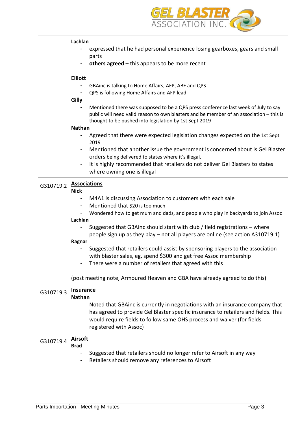

|           | Lachlan                                                                                                                                                                                                                                          |  |  |  |  |
|-----------|--------------------------------------------------------------------------------------------------------------------------------------------------------------------------------------------------------------------------------------------------|--|--|--|--|
|           | expressed that he had personal experience losing gearboxes, gears and small<br>parts                                                                                                                                                             |  |  |  |  |
|           | others agreed $-$ this appears to be more recent                                                                                                                                                                                                 |  |  |  |  |
|           | <b>Elliott</b>                                                                                                                                                                                                                                   |  |  |  |  |
|           | GBAinc is talking to Home Affairs, AFP, ABF and QPS<br>QPS is following Home Affairs and AFP lead                                                                                                                                                |  |  |  |  |
|           | Gilly<br>Mentioned there was supposed to be a QPS press conference last week of July to say<br>public will need valid reason to own blasters and be member of an association - this is<br>thought to be pushed into legislation by 1st Sept 2019 |  |  |  |  |
|           | <b>Nathan</b>                                                                                                                                                                                                                                    |  |  |  |  |
|           | Agreed that there were expected legislation changes expected on the 1st Sept<br>2019                                                                                                                                                             |  |  |  |  |
|           | Mentioned that another issue the government is concerned about is Gel Blaster<br>orders being delivered to states where it's illegal.                                                                                                            |  |  |  |  |
|           | It is highly recommended that retailers do not deliver Gel Blasters to states<br>where owning one is illegal                                                                                                                                     |  |  |  |  |
| G310719.2 | <b>Associations</b><br><b>Nick</b>                                                                                                                                                                                                               |  |  |  |  |
|           | M4A1 is discussing Association to customers with each sale                                                                                                                                                                                       |  |  |  |  |
|           | Mentioned that \$20 is too much                                                                                                                                                                                                                  |  |  |  |  |
|           | Wondered how to get mum and dads, and people who play in backyards to join Assoc                                                                                                                                                                 |  |  |  |  |
|           | Lachlan                                                                                                                                                                                                                                          |  |  |  |  |
|           | Suggested that GBAinc should start with club / field registrations – where<br>people sign up as they play – not all players are online (see action A310719.1)                                                                                    |  |  |  |  |
|           | Ragnar                                                                                                                                                                                                                                           |  |  |  |  |
|           | Suggested that retailers could assist by sponsoring players to the association                                                                                                                                                                   |  |  |  |  |
|           | with blaster sales, eg, spend \$300 and get free Assoc membership                                                                                                                                                                                |  |  |  |  |
|           | There were a number of retailers that agreed with this                                                                                                                                                                                           |  |  |  |  |
|           | (post meeting note, Armoured Heaven and GBA have already agreed to do this)                                                                                                                                                                      |  |  |  |  |
| G310719.3 | <b>Insurance</b><br><b>Nathan</b>                                                                                                                                                                                                                |  |  |  |  |
|           | Noted that GBAinc is currently in negotiations with an insurance company that                                                                                                                                                                    |  |  |  |  |
|           | has agreed to provide Gel Blaster specific insurance to retailers and fields. This                                                                                                                                                               |  |  |  |  |
|           | would require fields to follow same OHS process and waiver (for fields<br>registered with Assoc)                                                                                                                                                 |  |  |  |  |
| G310719.4 | <b>Airsoft</b>                                                                                                                                                                                                                                   |  |  |  |  |
|           | <b>Brad</b>                                                                                                                                                                                                                                      |  |  |  |  |
|           | Suggested that retailers should no longer refer to Airsoft in any way<br>Retailers should remove any references to Airsoft                                                                                                                       |  |  |  |  |
|           |                                                                                                                                                                                                                                                  |  |  |  |  |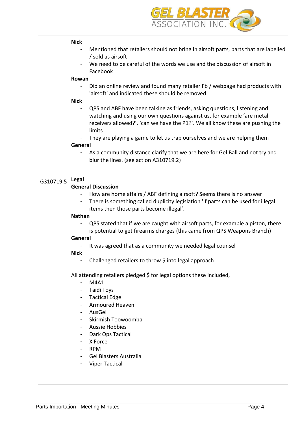

|           | <b>Nick</b>                                                                                                   |
|-----------|---------------------------------------------------------------------------------------------------------------|
|           | Mentioned that retailers should not bring in airsoft parts, parts that are labelled                           |
|           | / sold as airsoft                                                                                             |
|           | We need to be careful of the words we use and the discussion of airsoft in                                    |
|           | Facebook                                                                                                      |
|           | Rowan                                                                                                         |
|           | Did an online review and found many retailer Fb / webpage had products with                                   |
|           | 'airsoft' and indicated these should be removed                                                               |
|           | <b>Nick</b><br>QPS and ABF have been talking as friends, asking questions, listening and                      |
|           | watching and using our own questions against us, for example 'are metal                                       |
|           | receivers allowed?', 'can we have the P1?'. We all know these are pushing the                                 |
|           | limits                                                                                                        |
|           | They are playing a game to let us trap ourselves and we are helping them                                      |
|           | General                                                                                                       |
|           | As a community distance clarify that we are here for Gel Ball and not try and                                 |
|           | blur the lines. (see action A310719.2)                                                                        |
|           |                                                                                                               |
|           | <b>Legal</b>                                                                                                  |
| G310719.5 | <b>General Discussion</b>                                                                                     |
|           | How are home affairs / ABF defining airsoft? Seems there is no answer                                         |
|           | There is something called duplicity legislation 'If parts can be used for illegal<br>$\overline{\phantom{a}}$ |
|           | items then those parts become illegal'.                                                                       |
|           | <b>Nathan</b>                                                                                                 |
|           | QPS stated that if we are caught with airsoft parts, for example a piston, there                              |
|           | is potential to get firearms charges (this came from QPS Weapons Branch)                                      |
|           | General                                                                                                       |
|           | It was agreed that as a community we needed legal counsel                                                     |
|           | <b>Nick</b>                                                                                                   |
|           | Challenged retailers to throw \$ into legal approach                                                          |
|           | All attending retailers pledged \$ for legal options these included,                                          |
|           | M4A1                                                                                                          |
|           | Taidi Toys                                                                                                    |
|           | - Tactical Edge                                                                                               |
|           | <b>Armoured Heaven</b>                                                                                        |
|           | AusGel                                                                                                        |
|           | Skirmish Toowoomba                                                                                            |
|           | <b>Aussie Hobbies</b>                                                                                         |
|           | Dark Ops Tactical<br>٠                                                                                        |
|           | X Force                                                                                                       |
|           | <b>RPM</b>                                                                                                    |
|           | Gel Blasters Australia                                                                                        |
|           | <b>Viper Tactical</b>                                                                                         |
|           |                                                                                                               |
|           |                                                                                                               |